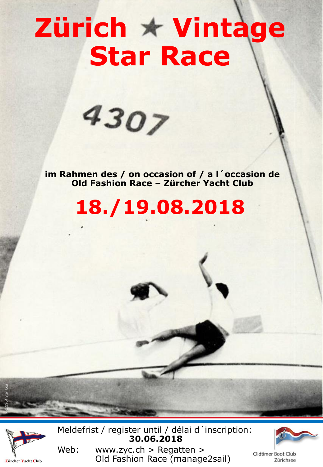# **Zürich \* Vintage Star Race**



**im Rahmen des / on occasion of / a l´occasion de Old Fashion Race – Zürcher Yacht Club**

**18./19.08.2018**



Pic: 1964 Star Log

Meldefrist / register until / délai d´inscription: **30.06.2018**

Zürichsee

Web: www.zyc.ch > Regatten > Oldtimer Boot Club Old Fashion Race (manage2sail)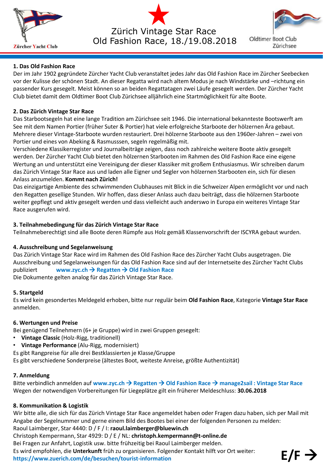

Zürich Vintage Star Race Old Fashion Race, 18./19.08.2018



Oldtimer Boot Club Zürichsee

# **1. Das Old Fashion Race**

Der im Jahr 1902 gegründete Zürcher Yacht Club veranstaltet jedes Jahr das Old Fashion Race im Zürcher Seebecken vor der Kulisse der schönen Stadt. An dieser Regatta wird nach altem Modus je nach Windstärke und –richtung ein passender Kurs gesegelt. Meist können so an beiden Regattatagen zwei Läufe gesegelt werden. Der Zürcher Yacht Club bietet damit dem Oldtimer Boot Club Zürichsee alljährlich eine Startmöglichkeit für alte Boote.

## **2. Das Zürich Vintage Star Race**

Das Starbootsegeln hat eine lange Tradition am Zürichsee seit 1946. Die international bekannteste Bootswerft am See mit dem Namen Portier (früher Suter & Portier) hat viele erfolgreiche Starboote der hölzernen Ära gebaut. Mehrere dieser Vintage-Starboote wurden restauriert. Drei hölzerne Starboote aus den 1960er-Jahren – zwei von Portier und eines von Abeking & Rasmusssen, segeln regelmäßig mit.

Verschiedene Klassikerregister und Journalbeiträge zeigen, dass noch zahlreiche weitere Boote aktiv gesegelt werden. Der Zürcher Yacht Club bietet den hölzernen Starbooten im Rahmen des Old Fashion Race eine eigene Wertung an und unterstützt eine Vereinigung der dieser Klassiker mit großem Enthusiasmus. Wir schreiben darum das Zürich Vintage Star Race aus und laden alle Eigner und Segler von hölzernen Starbooten ein, sich für diesen Anlass anzumelden. **Kommt nach Zürich!**

Das einzigartige Ambiente des schwimmenden Clubhauses mit Blick in die Schweizer Alpen ermöglicht vor und nach den Regatten gesellige Stunden. Wir hoffen, dass dieser Anlass auch dazu beiträgt, dass die hölzernen Starboote weiter gepflegt und aktiv gesegelt werden und dass vielleicht auch anderswo in Europa ein weiteres Vintage Star Race ausgerufen wird.

## **3. Teilnahmebedingung für das Zürich Vintage Star Race**

Teilnahmeberechtigt sind alle Boote deren Rümpfe aus Holz gemäß Klassenvorschrift der ISCYRA gebaut wurden.

#### **4. Ausschreibung und Segelanweisung**

Das Zürich Vintage Star Race wird im Rahmen des Old Fashion Race des Zürcher Yacht Clubs ausgetragen. Die Ausschreibung und Segelanweisungen für das Old Fashion Race sind auf der Internetseite des Zürcher Yacht Clubs publiziert **www.zyc.ch → Regatten → Old Fashion Race** Die Dokumente gelten analog für das Zürich Vintage Star Race.

#### **5. Startgeld**

Es wird kein gesondertes Meldegeld erhoben, bitte nur regulär beim **Old Fashion Race**, Kategorie **Vintage Star Race** anmelden.

#### **6. Wertungen und Preise**

Bei genügend Teilnehmern (6+ je Gruppe) wird in zwei Gruppen gesegelt:

- **Vintage Classic** (Holz-Rigg, traditionell)
- **Vintage Performance** (Alu-Rigg, modernisiert)
- Es gibt Rangpreise für alle drei Bestklassierten je Klasse/Gruppe

Es gibt verschiedene Sonderpreise (ältestes Boot, weiteste Anreise, größte Authentizität)

#### **7. Anmeldung**

Bitte verbindlich anmelden auf **www.zyc.ch Regatten Old Fashion Race manage2sail : Vintage Star Race** Wegen der notwendigen Vorbereitungen für Liegeplätze gilt ein früherer Meldeschluss: **30.06.2018**

#### **8. Kommunikation & Logistik**

Wir bitte alle, die sich für das Zürich Vintage Star Race angemeldet haben oder Fragen dazu haben, sich per Mail mit Angabe der Segelnummer und gerne einem Bild des Bootes bei einer der folgenden Personen zu melden:

Raoul Laimberger, Star 4440: D / F / I: **raoul.laimberger@bluewin.ch** 

Christoph Kempermann, Star 4929: D / E / NL: **christoph.kempermann@t-online.de**

Bei Fragen zur Anfahrt, Logistik usw. bitte frühzeitig bei Raoul Laimberger melden.

Es wird empfohlen, die **Unterkunft** früh zu organisieren. Folgender Kontakt hilft vor Ort weiter: **https://www.zuerich.com/de/besuchen/tourist-information E/F**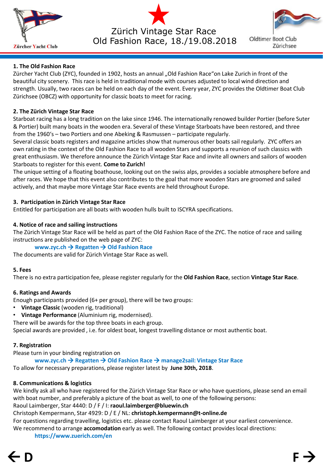

Zürich Vintage Star Race Old Fashion Race, 18./19.08.2018



Oldtimer Boot Club Zürichsee

# **1. The Old Fashion Race**

Zürcher Yacht Club (ZYC), founded in 1902, hosts an annual "Old Fashion Race"on Lake Zurich in front of the beautiful city scenery. This race is held in traditional mode with courses adjusted to local wind direction and strength. Usually, two races can be held on each day of the event. Every year, ZYC provides the Oldtimer Boat Club Zürichsee (OBCZ) with opportunity for classic boats to meet for racing.

# **2. The Zürich Vintage Star Race**

Starboat racing has a long tradition on the lake since 1946. The internationally renowed builder Portier (before Suter & Portier) built many boats in the wooden era. Several of these Vintage Starboats have been restored, and three from the 1960's – two Portiers and one Abeking & Rasmussen – participate regularly.

Several classic boats registers and magazine articles show that numerous other boats sail regularly. ZYC offers an own rating in the context of the Old Fashion Race to all wooden Stars and supports a reunion of such classics with great enthusiasm. We therefore announce the Zürich Vintage Star Race and invite all owners and sailors of wooden Starboats to register for this event. **Come to Zurich!**

The unique setting of a floating boathouse, looking out on the swiss alps, provides a sociable atmosphere before and after races. We hope that this event also contributes to the goal that more wooden Stars are groomed and sailed actively, and that maybe more Vintage Star Race events are held throughout Europe.

# **3. Participation in Zürich Vintage Star Race**

Entitled for participation are all boats with wooden hulls built to ISCYRA specifications.

# **4. Notice of race and sailing instructions**

The Zürich Vintage Star Race will be held as part of the Old Fashion Race of the ZYC. The notice of race and sailing instructions are published on the web page of ZYC:

# **www.zyc.ch → Regatten → Old Fashion Race**

The documents are valid for Zürich Vintage Star Race as well.

# **5. Fees**

There is no extra participation fee, please register regularly for the **Old Fashion Race**, section **Vintage Star Race**.

# **6. Ratings and Awards**

Enough participants provided (6+ per group), there will be two groups:

- **Vintage Classic** (wooden rig, traditional)
- **Vintage Performance** (Aluminium rig, modernised).

There will be awards for the top three boats in each group.

Special awards are provided , i.e. for oldest boat, longest travelling distance or most authentic boat.

# **7. Registration**

Please turn in your binding registration on

**www.zyc.ch → Regatten → Old Fashion Race → manage2sail: Vintage Star Race** 

To allow for necessary preparations, please register latest by **June 30th, 2018**.

# **8. Communications & logistics**

We kindly ask all who have registered for the Zürich Vintage Star Race or who have questions, please send an email with boat number, and preferably a picture of the boat as well, to one of the following persons:

Raoul Laimberger, Star 4440: D / F / I: **raoul.laimberger@bluewin.ch** 

Christoph Kempermann, Star 4929: D / E / NL: **christoph.kempermann@t-online.de**

For questions regarding travelling, logistics etc. please contact Raoul Laimberger at your earliest convenience. We recommend to arrange **accomodation** early as well. The following contact provides local directions:

**https://www.zuerich.com/en**